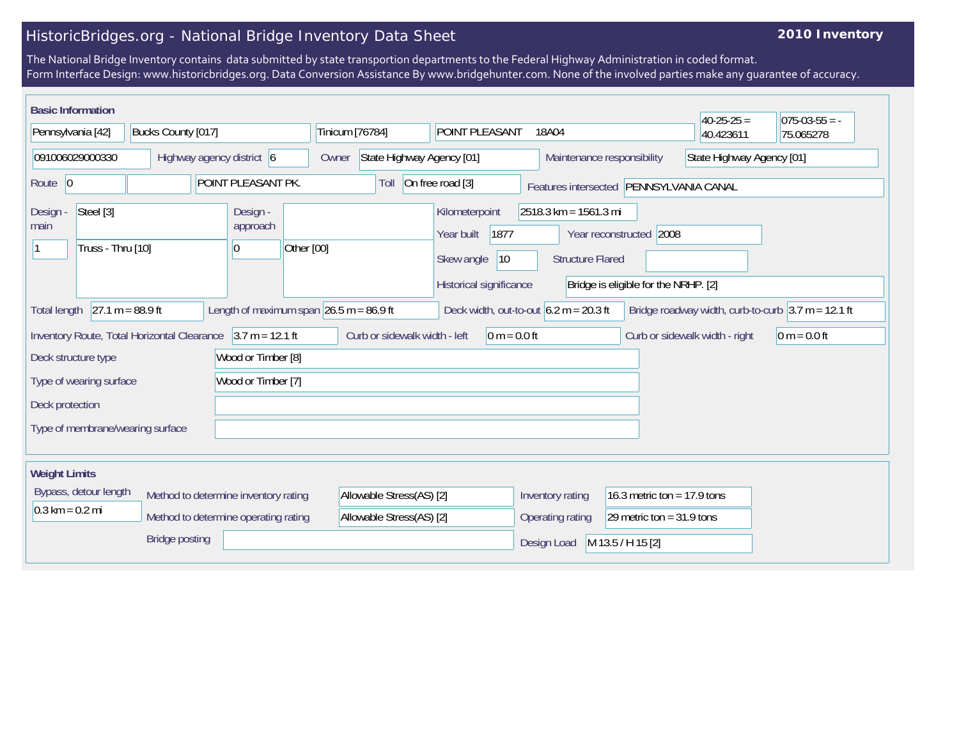## HistoricBridges.org - National Bridge Inventory Data Sheet

## **2010 Inventory**

The National Bridge Inventory contains data submitted by state transportion departments to the Federal Highway Administration in coded format. Form Interface Design: www.historicbridges.org. Data Conversion Assistance By www.bridgehunter.com. None of the involved parties make any guarantee of accuracy.

| <b>Basic Information</b>                                                                                                                                                                                                                            |                    |                                                                  |                 |                                                                                                      |                                                  |                                         | $40-25-25 =$ | $075-03-55 = -$ |
|-----------------------------------------------------------------------------------------------------------------------------------------------------------------------------------------------------------------------------------------------------|--------------------|------------------------------------------------------------------|-----------------|------------------------------------------------------------------------------------------------------|--------------------------------------------------|-----------------------------------------|--------------|-----------------|
| Pennsylvania [42]                                                                                                                                                                                                                                   | Bucks County [017] |                                                                  | Tinicum [76784] | POINT PLEASANT                                                                                       | 18A04                                            |                                         | 40.423611    | 75.065278       |
| 091006029000330<br>Highway agency district 6                                                                                                                                                                                                        |                    | State Highway Agency [01]<br>Maintenance responsibility<br>Owner |                 | State Highway Agency [01]                                                                            |                                                  |                                         |              |                 |
| POINT PLEASANT PK.<br>Route $ 0$                                                                                                                                                                                                                    |                    |                                                                  | Toll            | On free road [3]                                                                                     |                                                  | Features intersected PENNSYLVANIA CANAL |              |                 |
| Steel [3]<br>Design -<br>main<br>Truss - Thru [10]                                                                                                                                                                                                  |                    | Design -<br>approach<br>Other [00]<br> 0                         |                 | Kilometerpoint<br>1877<br>Year built<br>Skew angle<br> 10<br>Historical significance                 | 2518.3 km = 1561.3 mi<br><b>Structure Flared</b> | Year reconstructed 2008                 |              |                 |
| Bridge is eligible for the NRHP. [2]<br>$27.1 m = 88.9 ft$<br>Length of maximum span $26.5$ m = 86.9 ft<br>Bridge roadway width, curb-to-curb $ 3.7 \text{ m} = 12.1 \text{ ft}$<br>Deck width, out-to-out $6.2 m = 20.3 ft$<br><b>Total length</b> |                    |                                                                  |                 |                                                                                                      |                                                  |                                         |              |                 |
| Inventory Route, Total Horizontal Clearance 3.7 m = 12.1 ft<br>Curb or sidewalk width - left<br>$0 m = 0.0 ft$<br>$ 0 m = 0.0 ft$<br>Curb or sidewalk width - right<br>Wood or Timber [8]<br>Deck structure type                                    |                    |                                                                  |                 |                                                                                                      |                                                  |                                         |              |                 |
| Wood or Timber [7]<br>Type of wearing surface<br>Deck protection                                                                                                                                                                                    |                    |                                                                  |                 |                                                                                                      |                                                  |                                         |              |                 |
| Type of membrane/wearing surface                                                                                                                                                                                                                    |                    |                                                                  |                 |                                                                                                      |                                                  |                                         |              |                 |
| <b>Weight Limits</b>                                                                                                                                                                                                                                |                    |                                                                  |                 |                                                                                                      |                                                  |                                         |              |                 |
| Bypass, detour length<br>Method to determine inventory rating<br>$0.3 \text{ km} = 0.2 \text{ mi}$<br>Method to determine operating rating                                                                                                          |                    | Allowable Stress(AS) [2]<br>Allowable Stress(AS) [2]             |                 | Inventory rating<br>16.3 metric ton = $17.9$ tons<br>Operating rating<br>29 metric ton = $31.9$ tons |                                                  |                                         |              |                 |
| <b>Bridge posting</b>                                                                                                                                                                                                                               |                    |                                                                  |                 |                                                                                                      | Design Load                                      | M 13.5 / H 15 [2]                       |              |                 |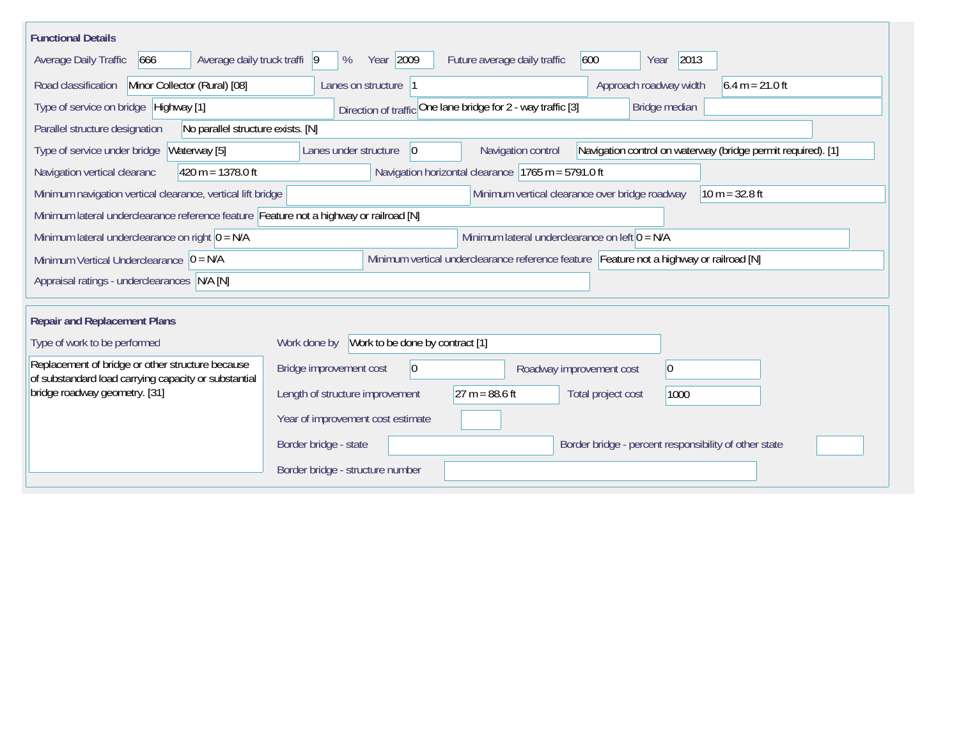| <b>Functional Details</b>                                                                                |                                                                                                                    |  |  |  |  |  |
|----------------------------------------------------------------------------------------------------------|--------------------------------------------------------------------------------------------------------------------|--|--|--|--|--|
| Average daily truck traffi  9<br>Average Daily Traffic<br>666                                            | Year 2009<br>2013<br>600<br>%<br>Future average daily traffic<br>Year                                              |  |  |  |  |  |
| Minor Collector (Rural) [08]<br>Road classification                                                      | Approach roadway width<br>$6.4 m = 21.0 ft$<br>Lanes on structure 1                                                |  |  |  |  |  |
| Type of service on bridge Highway [1]                                                                    | Direction of traffic One lane bridge for 2 - way traffic [3]<br>Bridge median                                      |  |  |  |  |  |
| No parallel structure exists. [N]<br>Parallel structure designation                                      |                                                                                                                    |  |  |  |  |  |
| Waterway [5]<br>Type of service under bridge                                                             | Navigation control on waterway (bridge permit required). [1]<br> 0 <br>Navigation control<br>Lanes under structure |  |  |  |  |  |
| 420 m = $1378.0$ ft<br>Navigation vertical clearanc                                                      | Navigation horizontal clearance   1765 m = 5791.0 ft                                                               |  |  |  |  |  |
| Minimum navigation vertical clearance, vertical lift bridge                                              | Minimum vertical clearance over bridge roadway<br>$10 m = 32.8 ft$                                                 |  |  |  |  |  |
|                                                                                                          | Minimum lateral underclearance reference feature Feature not a highway or railroad [N]                             |  |  |  |  |  |
| Minimum lateral underclearance on right $ 0 = N/A$                                                       | Minimum lateral underclearance on left $0 = N/A$                                                                   |  |  |  |  |  |
| Minimum Vertical Underclearance $ 0 = N/A$                                                               | Minimum vertical underclearance reference feature Feature not a highway or railroad [N]                            |  |  |  |  |  |
| Appraisal ratings - underclearances N/A [N]                                                              |                                                                                                                    |  |  |  |  |  |
|                                                                                                          |                                                                                                                    |  |  |  |  |  |
| <b>Repair and Replacement Plans</b>                                                                      |                                                                                                                    |  |  |  |  |  |
| Type of work to be performed                                                                             | Work to be done by contract [1]<br>Work done by                                                                    |  |  |  |  |  |
| Replacement of bridge or other structure because<br>of substandard load carrying capacity or substantial | Bridge improvement cost<br>$\overline{0}$<br>$ 0\rangle$<br>Roadway improvement cost                               |  |  |  |  |  |
| bridge roadway geometry. [31]                                                                            | $27 m = 88.6 ft$<br>Length of structure improvement<br>Total project cost<br>1000                                  |  |  |  |  |  |
|                                                                                                          | Year of improvement cost estimate                                                                                  |  |  |  |  |  |
|                                                                                                          | Border bridge - state<br>Border bridge - percent responsibility of other state                                     |  |  |  |  |  |
|                                                                                                          | Border bridge - structure number                                                                                   |  |  |  |  |  |